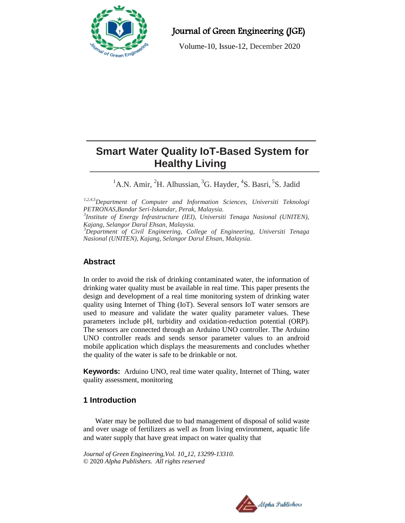

Journal of Green Engineering (JGE)

Volume-10, Issue-12, December 2020

# **Smart Water Quality IoT-Based System for Healthy Living**

<sup>1</sup>A.N. Amir, <sup>2</sup>H. Alhussian, <sup>3</sup>G. Hayder, <sup>4</sup>S. Basri, <sup>5</sup>S. Jadid

*1,2,4,5Department of Computer and Information Sciences, Universiti Teknologi PETRONAS,Bandar Seri-Iskandar, Perak, Malaysia.*

*3 Institute of Energy Infrastructure (IEI), Universiti Tenaga Nasional (UNITEN), Kajang, Selangor Darul Ehsan, Malaysia.*

*<sup>3</sup>Department of Civil Engineering, College of Engineering, Universiti Tenaga Nasional (UNITEN), Kajang, Selangor Darul Ehsan, Malaysia.*

# **Abstract**

In order to avoid the risk of drinking contaminated water, the information of drinking water quality must be available in real time. This paper presents the design and development of a real time monitoring system of drinking water quality using Internet of Thing (IoT). Several sensors IoT water sensors are used to measure and validate the water quality parameter values. These parameters include pH, turbidity and oxidation-reduction potential (ORP). The sensors are connected through an Arduino UNO controller. The Arduino UNO controller reads and sends sensor parameter values to an android mobile application which displays the measurements and concludes whether the quality of the water is safe to be drinkable or not.

**Keywords:** Arduino UNO, real time water quality, Internet of Thing, water quality assessment, monitoring

# **1 Introduction**

Water may be polluted due to bad management of disposal of solid waste and over usage of fertilizers as well as from living environment, aquatic life and water supply that have great impact on water quality that

*Journal of Green Engineering,Vol. 10\_12, 13299-13310.* © 2020 *Alpha Publishers. All rights reserved*

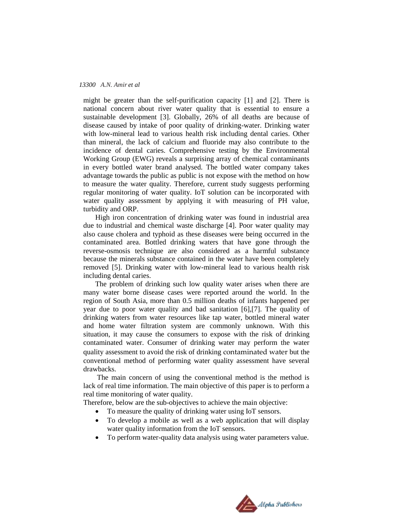#### *13300 A.N. Amir et al*

might be greater than the self-purification capacity [1] and [2]. There is national concern about river water quality that is essential to ensure a sustainable development [3]. Globally, 26% of all deaths are because of disease caused by intake of poor quality of drinking-water. Drinking water with low-mineral lead to various health risk including dental caries. Other than mineral, the lack of calcium and fluoride may also contribute to the incidence of dental caries. Comprehensive testing by the Environmental Working Group (EWG) reveals a surprising array of chemical contaminants in every bottled water brand analysed. The bottled water company takes advantage towards the public as public is not expose with the method on how to measure the water quality. Therefore, current study suggests performing regular monitoring of water quality. IoT solution can be incorporated with water quality assessment by applying it with measuring of PH value, turbidity and ORP.

High iron concentration of drinking water was found in industrial area due to industrial and chemical waste discharge [4]. Poor water quality may also cause cholera and typhoid as these diseases were being occurred in the contaminated area. Bottled drinking waters that have gone through the reverse-osmosis technique are also considered as a harmful substance because the minerals substance contained in the water have been completely removed [5]. Drinking water with low-mineral lead to various health risk including dental caries.

The problem of drinking such low quality water arises when there are many water borne disease cases were reported around the world. In the region of South Asia, more than 0.5 million deaths of infants happened per year due to poor water quality and bad sanitation [6],[7]. The quality of drinking waters from water resources like tap water, bottled mineral water and home water filtration system are commonly unknown. With this situation, it may cause the consumers to expose with the risk of drinking contaminated water. Consumer of drinking water may perform the water quality assessment to avoid the risk of drinking contaminated water but the conventional method of performing water quality assessment have several drawbacks.

The main concern of using the conventional method is the method is lack of real time information. The main objective of this paper is to perform a real time monitoring of water quality.

Therefore, below are the sub-objectives to achieve the main objective:

- To measure the quality of drinking water using IoT sensors.
- To develop a mobile as well as a web application that will display water quality information from the IoT sensors.
- To perform water-quality data analysis using water parameters value.

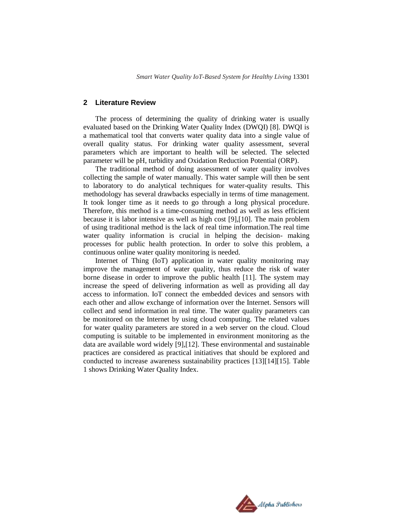### **2 Literature Review**

The process of determining the quality of drinking water is usually evaluated based on the Drinking Water Quality Index (DWQI) [8]. DWQI is a mathematical tool that converts water quality data into a single value of overall quality status. For drinking water quality assessment, several parameters which are important to health will be selected. The selected parameter will be pH, turbidity and Oxidation Reduction Potential (ORP).

The traditional method of doing assessment of water quality involves collecting the sample of water manually. This water sample will then be sent to laboratory to do analytical techniques for water-quality results. This methodology has several drawbacks especially in terms of time management. It took longer time as it needs to go through a long physical procedure. Therefore, this method is a time-consuming method as well as less efficient because it is labor intensive as well as high cost [9],[10]. The main problem of using traditional method is the lack of real time information.The real time water quality information is crucial in helping the decision- making processes for public health protection. In order to solve this problem, a continuous online water quality monitoring is needed.

Internet of Thing (IoT) application in water quality monitoring may improve the management of water quality, thus reduce the risk of water borne disease in order to improve the public health [11]. The system may increase the speed of delivering information as well as providing all day access to information. IoT connect the embedded devices and sensors with each other and allow exchange of information over the Internet. Sensors will collect and send information in real time. The water quality parameters can be monitored on the Internet by using cloud computing. The related values for water quality parameters are stored in a web server on the cloud. Cloud computing is suitable to be implemented in environment monitoring as the data are available word widely [9],[12]. These environmental and sustainable practices are considered as practical initiatives that should be explored and conducted to increase awareness sustainability practices [13][14][15]. Table 1 shows Drinking Water Quality Index.

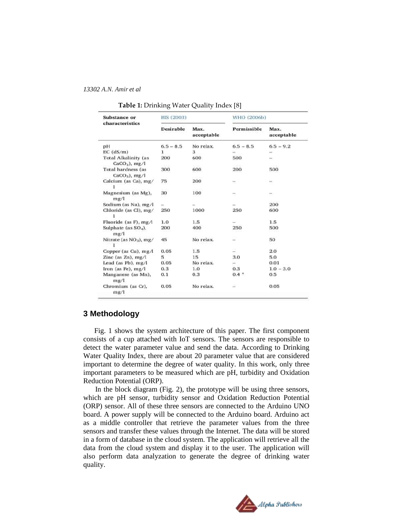#### *13302 A.N. Amir et al*

| <b>Substance or</b>                     | BIS (2003)    |                    | WHO (2006b)   |                                |
|-----------------------------------------|---------------|--------------------|---------------|--------------------------------|
| characteristics                         | Desirable     | Max.<br>acceptable | Permissible   | Max.<br>acceptable             |
| pН                                      | $6.5 - 8.5$   | No relax.          | $6.5 - 8.5$   | $6.5 - 9.2$                    |
| $EC$ ( $dS/m$ )                         | 1             | з                  |               |                                |
| Total Alkalinity (as<br>$CaCO3$ ), mg/l | 200<br>000000 | 600                | 500           | $\rightarrow$<br><b>CANNER</b> |
| Total hardness (as<br>$CaCO3$ ), mg/l   | 300           | 600                | 200           | 500                            |
| Calcium (as Ca), mg/                    | 75            | 200                | ÷             | ÷                              |
| Magnesium (as Mg).<br>mg/l              | 30            | 100                |               | ÷                              |
| Sodium (as Na), mg/l                    | $\sim$        |                    |               | 200                            |
| Chloride (as Cl), mg/                   | 250           | 1000               | 250           | 600                            |
| Fluoride (as F), mg/l                   | 1.0           | 1.5                | ÷             | 1.5                            |
| Sulphate (as SO <sub>4</sub> ).<br>mg/l | 200           | 400                | 250           | 500                            |
| Nitrate (as NO <sub>3</sub> ), mg/      | 45            | No relax.          | $\frac{1}{2}$ | 50                             |
| Copper (as $Cu$ ), $mg/1$               | 0.05          | 1.5                | $\sim$        | 2.0                            |
| Zinc (as $Zn$ ), mg/l                   | 5             | 15                 | 3.0           | 5.0                            |
| Lead (as Pb), mg/l                      | 0.05          | No relax.          | ÷             | 0.01                           |
| Iron (as Fe), $mg/l$                    | 0.3           | 1.0                | 0.3           | $1.0 - 3.0$                    |
| Manganese (as Mn),<br>mg/l              | 0.1           | 0.3                | $0.4$ $n$     | 0.5                            |
| Chromium (as Cr).<br>mg/l               | 0.05          | No relax.          |               | 0.05                           |

#### **Table 1:** Drinking Water Quality Index [8]

# **3 Methodology**

Fig. 1 shows the system architecture of this paper. The first component consists of a cup attached with IoT sensors. The sensors are responsible to detect the water parameter value and send the data. According to Drinking Water Quality Index, there are about 20 parameter value that are considered important to determine the degree of water quality. In this work, only three important parameters to be measured which are pH, turbidity and Oxidation Reduction Potential (ORP).

In the block diagram (Fig. 2), the prototype will be using three sensors, which are pH sensor, turbidity sensor and Oxidation Reduction Potential (ORP) sensor. All of these three sensors are connected to the Arduino UNO board. A power supply will be connected to the Arduino board. Arduino act as a middle controller that retrieve the parameter values from the three sensors and transfer these values through the Internet. The data will be stored in a form of database in the cloud system. The application will retrieve all the data from the cloud system and display it to the user. The application will also perform data analyzation to generate the degree of drinking water quality.

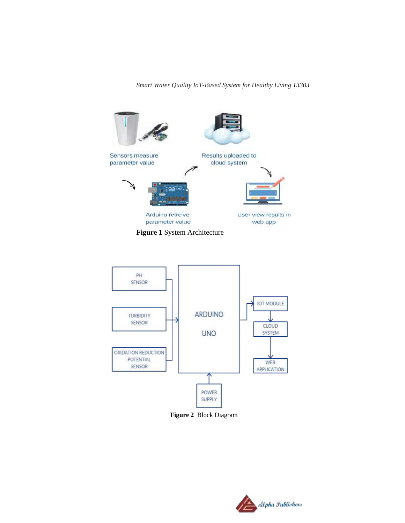*Smart Water Quality IoT-Based System for Healthy Living 13303*





 **Figure 2** Block Diagram

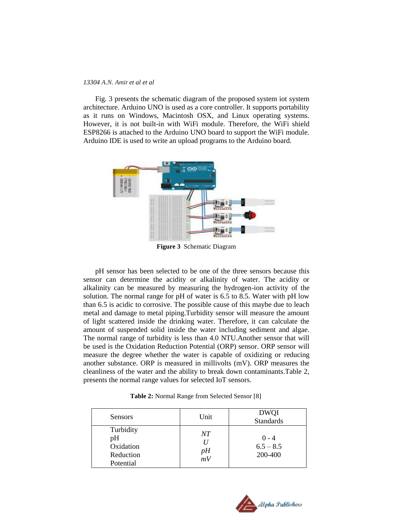#### *13304 A.N. Amir et al et al*

Fig. 3 presents the schematic diagram of the proposed system iot system architecture. Arduino UNO is used as a core controller. It supports portability as it runs on Windows, Macintosh OSX, and Linux operating systems. However, it is not built-in with WiFi module. Therefore, the WiFi shield ESP8266 is attached to the Arduino UNO board to support the WiFi module. Arduino IDE is used to write an upload programs to the Arduino board.



**Figure 3** Schematic Diagram

pH sensor has been selected to be one of the three sensors because this sensor can determine the acidity or alkalinity of water. The acidity or alkalinity can be measured by measuring the hydrogen-ion activity of the solution. The normal range for pH of water is 6.5 to 8.5. Water with pH low than 6.5 is acidic to corrosive. The possible cause of this maybe due to leach metal and damage to metal piping.Turbidity sensor will measure the amount of light scattered inside the drinking water. Therefore, it can calculate the amount of suspended solid inside the water including sediment and algae. The normal range of turbidity is less than 4.0 NTU.Another sensor that will be used is the Oxidation Reduction Potential (ORP) sensor. ORP sensor will measure the degree whether the water is capable of oxidizing or reducing another substance. ORP is measured in millivolts (mV). ORP measures the cleanliness of the water and the ability to break down contaminants.Table 2, presents the normal range values for selected IoT sensors.

| Sensors                                                | Unit                  | <b>DWQI</b><br><b>Standards</b>   |
|--------------------------------------------------------|-----------------------|-----------------------------------|
| Turbidity<br>pH<br>Oxidation<br>Reduction<br>Potential | NΤ<br>$\frac{pH}{mV}$ | $0 - 4$<br>$6.5 - 8.5$<br>200-400 |

 **Table 2:** Normal Range from Selected Sensor [8]

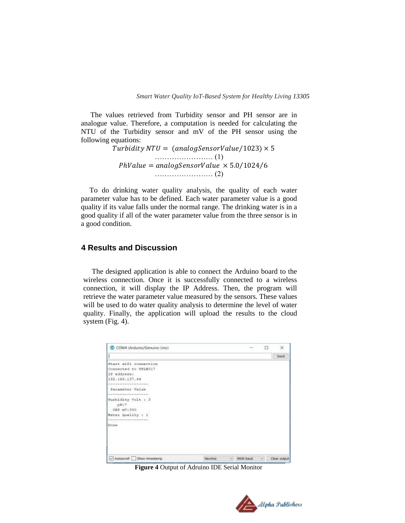The values retrieved from Turbidity sensor and PH sensor are in analogue value. Therefore, a computation is needed for calculating the NTU of the Turbidity sensor and mV of the PH sensor using the following equations:

> Turbidity NTU =  $(analogSensorValue/1023) \times 5$ …………………… (1)  $PhValue = analogSensorValue \times 5.0/1024/6$ …………………… (2)

To do drinking water quality analysis, the quality of each water parameter value has to be defined. Each water parameter value is a good quality if its value falls under the normal range. The drinking water is in a good quality if all of the water parameter value from the three sensor is in a good condition.

### **4 Results and Discussion**

The designed application is able to connect the Arduino board to the wireless connection. Once it is successfully connected to a wireless connection, it will display the IP Address. Then, the program will retrieve the water parameter value measured by the sensors. These values will be used to do water quality analysis to determine the level of water quality. Finally, the application will upload the results to the cloud system (Fig. 4).

| COM4 (Arduino/Genuino Uno)                                   |         | $\sim$    | □ | $\times$     |
|--------------------------------------------------------------|---------|-----------|---|--------------|
|                                                              |         |           |   | Send         |
| Start wifi connection                                        |         |           |   |              |
| Connected to TPL8017                                         |         |           |   |              |
| IF address:                                                  |         |           |   |              |
| 192.168.137.44                                               |         |           |   |              |
|                                                              |         |           |   |              |
| Parameter Value                                              |         |           |   |              |
| but before the paintings for the details of the con-         |         |           |   |              |
| Turbidity Volt : 3<br>pit:7<br>ORP MV:300                    |         |           |   |              |
| Water Quality : 1                                            |         |           |   |              |
| the form of the detection of the column result of the column |         |           |   |              |
| Done                                                         |         |           |   |              |
|                                                              |         |           |   |              |
|                                                              |         |           |   |              |
| Autoscroll Show timestamp                                    | Newline | 9600 baud |   | Clear output |

**Figure 4** Output of Adruino IDE Serial Monitor

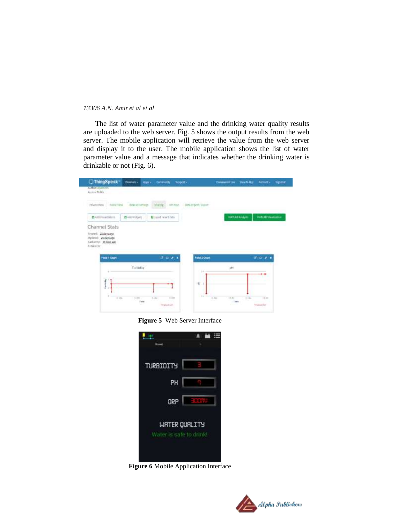#### *13306 A.N. Amir et al et al*

The list of water parameter value and the drinking water quality results are uploaded to the web server. Fig. 5 shows the output results from the web server. The mobile application will retrieve the value from the web server and display it to the user. The mobile application shows the list of water parameter value and a message that indicates whether the drinking water is drinkable or not (Fig. 6).

| <b>Rubbly Vires</b><br><b>POURSYS</b>                     | <b>CONTRACTOR</b><br>changes in the | SOUTHE<br>SHAWA         | <b>Lizzargot</b> /Luxe |                      |                           |  |
|-----------------------------------------------------------|-------------------------------------|-------------------------|------------------------|----------------------|---------------------------|--|
| <b>BARROUGHAMM</b>                                        | <b>C</b> Anti Williams              | <b>NI and most city</b> |                        | <b>MATLAIE Andym</b> | <b>MATUAL Visualcomer</b> |  |
| tronet Highways<br>Updated: 25 days ago                   |                                     |                         |                        |                      |                           |  |
| Listwood, JEdenberg<br>Frities 42<br><b>Piete 1 Chart</b> |                                     | $r \sim r$              | Field I Chart          |                      | $47.0 - 2.$               |  |
| ٠                                                         | Turnistay                           |                         | ×                      | jit                  |                           |  |

**Figure 5** Web Server Interface

| Home                    | $\cdots$      |
|-------------------------|---------------|
| TURBIDITY               |               |
| PH                      |               |
| ORP                     | e le p        |
|                         | WRTER QUALITY |
| Water is safe to drink! |               |
|                         |               |

**Figure 6** Mobile Application Interface

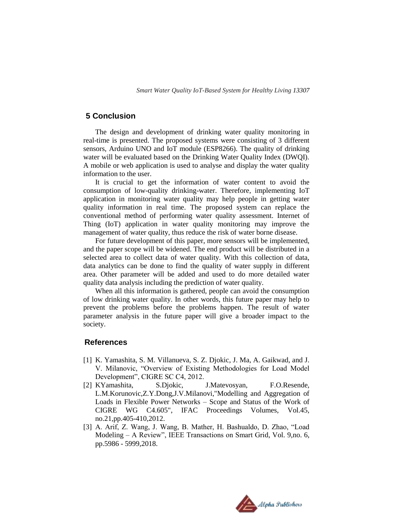### **5 Conclusion**

The design and development of drinking water quality monitoring in real-time is presented. The proposed systems were consisting of 3 different sensors, Arduino UNO and IoT module (ESP8266). The quality of drinking water will be evaluated based on the Drinking Water Quality Index (DWQI). A mobile or web application is used to analyse and display the water quality information to the user.

It is crucial to get the information of water content to avoid the consumption of low-quality drinking-water. Therefore, implementing IoT application in monitoring water quality may help people in getting water quality information in real time. The proposed system can replace the conventional method of performing water quality assessment. Internet of Thing (IoT) application in water quality monitoring may improve the management of water quality, thus reduce the risk of water borne disease.

For future development of this paper, more sensors will be implemented, and the paper scope will be widened. The end product will be distributed in a selected area to collect data of water quality. With this collection of data, data analytics can be done to find the quality of water supply in different area. Other parameter will be added and used to do more detailed water quality data analysis including the prediction of water quality.

When all this information is gathered, people can avoid the consumption of low drinking water quality. In other words, this future paper may help to prevent the problems before the problems happen. The result of water parameter analysis in the future paper will give a broader impact to the society.

### **References**

- [1] K. Yamashita, S. M. Villanueva, S. Z. Djokic, J. Ma, A. Gaikwad, and J. V. Milanovic, "Overview of Existing Methodologies for Load Model Development", CIGRE SC C4, 2012.
- [2] KYamashita, S.Djokic, J.Matevosyan, F.O.Resende, L.M.Korunovic,Z.Y.Dong,J.V.Milanovi,"Modelling and Aggregation of Loads in Flexible Power Networks – Scope and Status of the Work of CIGRE WG C4.605", IFAC Proceedings Volumes, Vol.45, no.21,pp.405-410,2012.
- [3] A. Arif, Z. Wang, J. Wang, B. Mather, H. Bashualdo, D. Zhao, "Load Modeling – A Review", IEEE Transactions on Smart Grid, Vol. 9,no. 6, pp.5986 - 5999,2018.

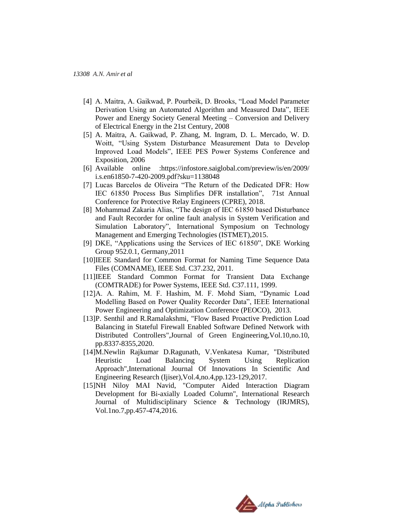- [4] A. Maitra, A. Gaikwad, P. Pourbeik, D. Brooks, "Load Model Parameter Derivation Using an Automated Algorithm and Measured Data", IEEE Power and Energy Society General Meeting – Conversion and Delivery of Electrical Energy in the 21st Century, 2008
- [5] A. Maitra, A. Gaikwad, P. Zhang, M. Ingram, D. L. Mercado, W. D. Woitt, "Using System Disturbance Measurement Data to Develop Improved Load Models", IEEE PES Power Systems Conference and Exposition, 2006
- [6] Available online :https://infostore.saiglobal.com/preview/is/en/2009/ i.s.en61850-7-420-2009.pdf?sku=1138048
- [7] Lucas Barcelos de Oliveira "The Return of the Dedicated DFR: How IEC 61850 Process Bus Simplifies DFR installation", 71st Annual Conference for Protective Relay Engineers (CPRE), 2018.
- [8] Mohammad Zakaria Alias, "The design of IEC 61850 based Disturbance and Fault Recorder for online fault analysis in System Verification and Simulation Laboratory", International Symposium on Technology Management and Emerging Technologies (ISTMET),2015.
- [9] DKE, "Applications using the Services of IEC 61850", DKE Working Group 952.0.1, Germany,2011
- [10]IEEE Standard for Common Format for Naming Time Sequence Data Files (COMNAME), IEEE Std. C37.232, 2011.
- [11]IEEE Standard Common Format for Transient Data Exchange (COMTRADE) for Power Systems, IEEE Std. C37.111, 1999.
- [12]A. A. Rahim, M. F. Hashim, M. F. Mohd Siam, "Dynamic Load Modelling Based on Power Quality Recorder Data", IEEE International Power Engineering and Optimization Conference (PEOCO), 2013.
- [13]P. Senthil and R.Ramalakshmi, "Flow Based Proactive Prediction Load Balancing in Stateful Firewall Enabled Software Defined Network with Distributed Controllers",Journal of Green Engineering,Vol.10,no.10, pp.8337-8355,2020.
- [14]M.Newlin Rajkumar D.Ragunath, V.Venkatesa Kumar, "Distributed Heuristic Load Balancing System Using Replication Approach",International Journal Of Innovations In Scientific And Engineering Research (Ijiser),Vol.4,no.4,pp.123-129,2017.
- [15]NH Niloy MAI Navid, "Computer Aided Interaction Diagram Development for Bi-axially Loaded Column", International Research Journal of Multidisciplinary Science & Technology (IRJMRS), Vol.1no.7,pp.457-474,2016.

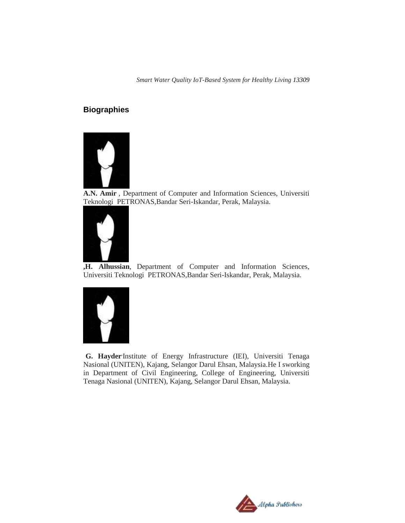*Smart Water Quality IoT-Based System for Healthy Living 13309*

# **Biographies**



**A.N. Amir** , Department of Computer and Information Sciences, Universiti Teknologi PETRONAS,Bandar Seri-Iskandar, Perak, Malaysia.



**,H. Alhussian**, Department of Computer and Information Sciences, Universiti Teknologi PETRONAS,Bandar Seri-Iskandar, Perak, Malaysia.



G. Hayder'Institute of Energy Infrastructure (IEI), Universiti Tenaga Nasional (UNITEN), Kajang, Selangor Darul Ehsan, Malaysia.He I sworking in Department of Civil Engineering, College of Engineering, Universiti Tenaga Nasional (UNITEN), Kajang, Selangor Darul Ehsan, Malaysia.